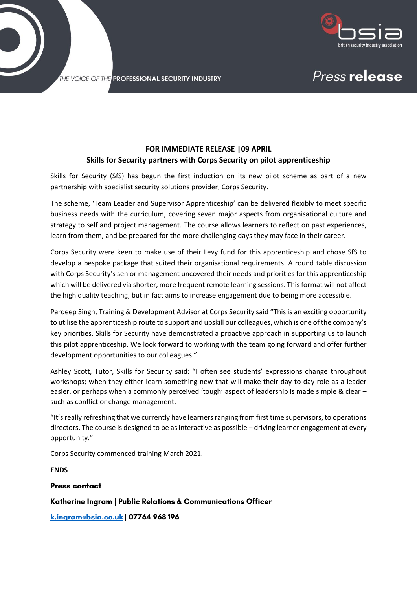

Press release

THE VOICE OF THE PROFESSIONAL SECURITY INDUSTRY

## **FOR IMMEDIATE RELEASE |09 APRIL Skills for Security partners with Corps Security on pilot apprenticeship**

Skills for Security (SfS) has begun the first induction on its new pilot scheme as part of a new partnership with specialist security solutions provider, Corps Security.

The scheme, 'Team Leader and Supervisor Apprenticeship' can be delivered flexibly to meet specific business needs with the curriculum, covering seven major aspects from organisational culture and strategy to self and project management. The course allows learners to reflect on past experiences, learn from them, and be prepared for the more challenging days they may face in their career.

Corps Security were keen to make use of their Levy fund for this apprenticeship and chose SfS to develop a bespoke package that suited their organisational requirements. A round table discussion with Corps Security's senior management uncovered their needs and priorities for this apprenticeship which will be delivered via shorter, more frequent remote learning sessions. This format will not affect the high quality teaching, but in fact aims to increase engagement due to being more accessible.

Pardeep Singh, Training & Development Advisor at Corps Security said "This is an exciting opportunity to utilise the apprenticeship route to support and upskill our colleagues, which is one of the company's key priorities. Skills for Security have demonstrated a proactive approach in supporting us to launch this pilot apprenticeship. We look forward to working with the team going forward and offer further development opportunities to our colleagues."

Ashley Scott, Tutor, Skills for Security said: "I often see students' expressions change throughout workshops; when they either learn something new that will make their day-to-day role as a leader easier, or perhaps when a commonly perceived 'tough' aspect of leadership is made simple & clear – such as conflict or change management.

"It'sreally refreshing that we currently have learners ranging from first time supervisors, to operations directors. The course is designed to be as interactive as possible – driving learner engagement at every opportunity."

Corps Security commenced training March 2021.

**ENDS**

### **Press contact**

### Katherine Ingram | Public Relations & Communications Officer

k.ingramebsia.co.uk | 07764 968 196